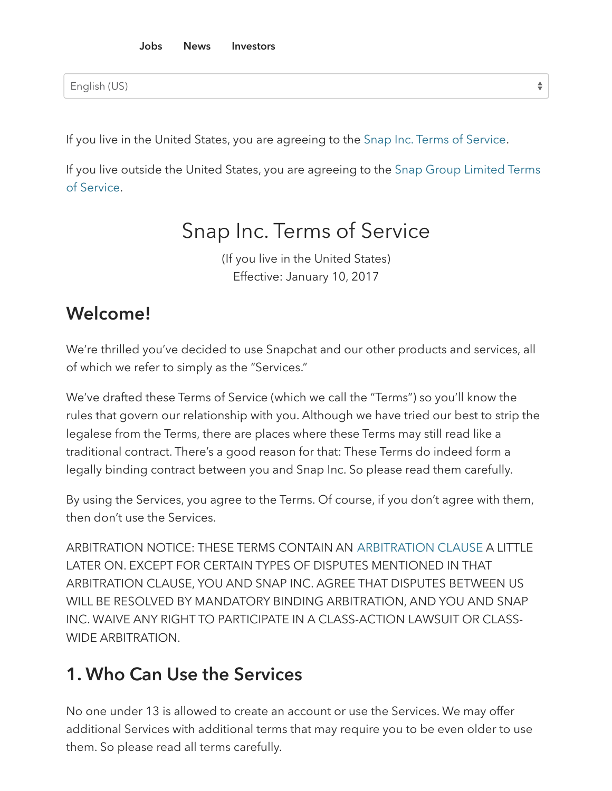English (US)

If you live in the United States, you are agreeing to the Snap Inc. Terms of [Service.](#page-0-0)

<span id="page-0-0"></span>If you live outside the United States, you are [agreeing](#page-12-0) to the Snap Group Limited Terms of Service.

 $\div$ 

### Snap Inc. Terms of Service

(If you live in the United States) Effective: January 10, 2017

#### Welcome!

We're thrilled you've decided to use Snapchat and our other products and services, all of which we refer to simply as the "Services."

We've drafted these Terms of Service (which we call the "Terms") so you'll know the rules that govern our relationship with you. Although we have tried our best to strip the legalese from the Terms, there are places where these Terms may still read like a traditional contract. There's a good reason for that: These Terms do indeed form a legally binding contract between you and Snap Inc. So please read them carefully.

By using the Services, you agree to the Terms. Of course, if you don't agree with them, then don't use the Services.

ARBITRATION NOTICE: THESE TERMS CONTAIN AN [ARBITRATION](#page-9-0) CLAUSE A LITTLE LATER ON. EXCEPT FOR CERTAIN TYPES OF DISPUTES MENTIONED IN THAT ARBITRATION CLAUSE, YOU AND SNAP INC. AGREE THAT DISPUTES BETWEEN US WILL BE RESOLVED BY MANDATORY BINDING ARBITRATION, AND YOU AND SNAP INC. WAIVE ANY RIGHT TO PARTICIPATE IN A CLASS-ACTION LAWSUIT OR CLASS-WIDE ARBITRATION.

#### 1. Who Can Use the Services

No one under 13 is allowed to create an account or use the Services. We may offer additional Services with additional terms that may require you to be even older to use them. So please read all terms carefully.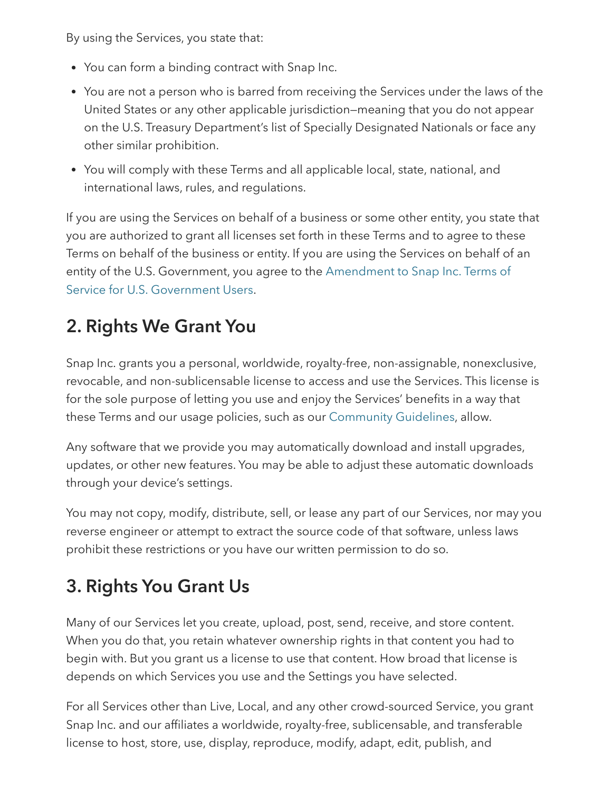By using the Services, you state that:

- You can form a binding contract with Snap Inc.
- You are not a person who is barred from receiving the Services under the laws of the United States or any other applicable jurisdiction—meaning that you do not appear on the U.S. Treasury Department's list of Specially Designated Nationals or face any other similar prohibition.
- You will comply with these Terms and all applicable local, state, national, and international laws, rules, and regulations.

If you are using the Services on behalf of a business or some other entity, you state that you are authorized to grant all licenses set forth in these Terms and to agree to these Terms on behalf of the business or entity. If you are using the Services on behalf of an entity of the U.S. [Government,](https://www.snap.com/en-US/terms/us-amendment/) you agree to the Amendment to Snap Inc. Terms of Service for U.S. Government Users.

## 2. Rights We Grant You

Snap Inc. grants you a personal, worldwide, royalty-free, non-assignable, nonexclusive, revocable, and non-sublicensable license to access and use the Services. This license is for the sole purpose of letting you use and enjoy the Services' benefits in a way that these Terms and our usage policies, such as our [Community](https://support.snapchat.com/a/guidelines) Guidelines, allow.

Any software that we provide you may automatically download and install upgrades, updates, or other new features. You may be able to adjust these automatic downloads through your device's settings.

You may not copy, modify, distribute, sell, or lease any part of our Services, nor may you reverse engineer or attempt to extract the source code of that software, unless laws prohibit these restrictions or you have our written permission to do so.

### 3. Rights You Grant Us

Many of our Services let you create, upload, post, send, receive, and store content. When you do that, you retain whatever ownership rights in that content you had to begin with. But you grant us a license to use that content. How broad that license is depends on which Services you use and the Settings you have selected.

For all Services other than Live, Local, and any other crowd-sourced Service, you grant Snap Inc. and our affiliates a worldwide, royalty-free, sublicensable, and transferable license to host, store, use, display, reproduce, modify, adapt, edit, publish, and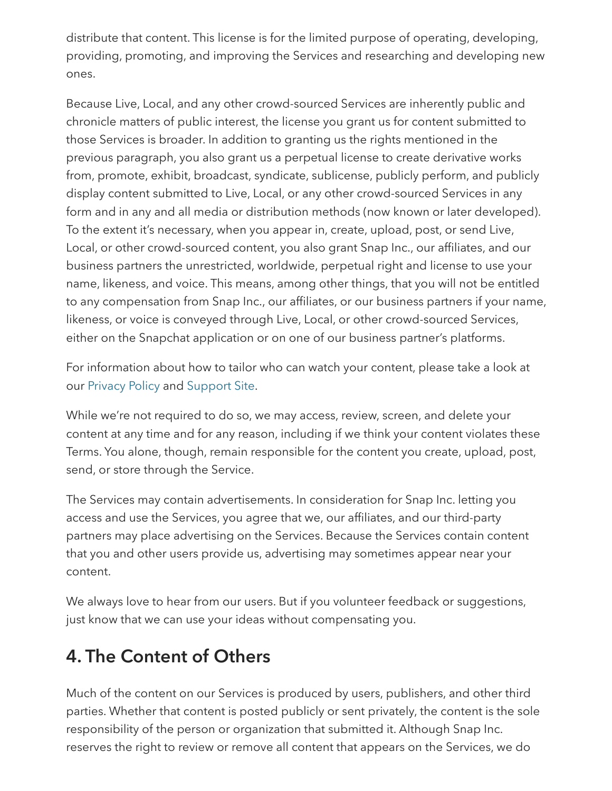distribute that content. This license is for the limited purpose of operating, developing, providing, promoting, and improving the Services and researching and developing new ones.

Because Live, Local, and any other crowd-sourced Services are inherently public and chronicle matters of public interest, the license you grant us for content submitted to those Services is broader. In addition to granting us the rights mentioned in the previous paragraph, you also grant us a perpetual license to create derivative works from, promote, exhibit, broadcast, syndicate, sublicense, publicly perform, and publicly display content submitted to Live, Local, or any other crowd-sourced Services in any form and in any and all media or distribution methods (now known or later developed). To the extent it's necessary, when you appear in, create, upload, post, or send Live, Local, or other crowd-sourced content, you also grant Snap Inc., our affiliates, and our business partners the unrestricted, worldwide, perpetual right and license to use your name, likeness, and voice. This means, among other things, that you will not be entitled to any compensation from Snap Inc., our affiliates, or our business partners if your name, likeness, or voice is conveyed through Live, Local, or other crowd-sourced Services, either on the Snapchat application or on one of our business partner's platforms.

For information about how to tailor who can watch your content, please take a look at our [Privacy](https://www.snap.com/en-US/privacy/privacy-policy/) Policy and [Support](https://support.snapchat.com/) Site.

While we're not required to do so, we may access, review, screen, and delete your content at any time and for any reason, including if we think your content violates these Terms. You alone, though, remain responsible for the content you create, upload, post, send, or store through the Service.

The Services may contain advertisements. In consideration for Snap Inc. letting you access and use the Services, you agree that we, our affiliates, and our third-party partners may place advertising on the Services. Because the Services contain content that you and other users provide us, advertising may sometimes appear near your content.

We always love to hear from our users. But if you volunteer feedback or suggestions, just know that we can use your ideas without compensating you.

#### 4. The Content of Others

Much of the content on our Services is produced by users, publishers, and other third parties. Whether that content is posted publicly or sent privately, the content is the sole responsibility of the person or organization that submitted it. Although Snap Inc. reserves the right to review or remove all content that appears on the Services, we do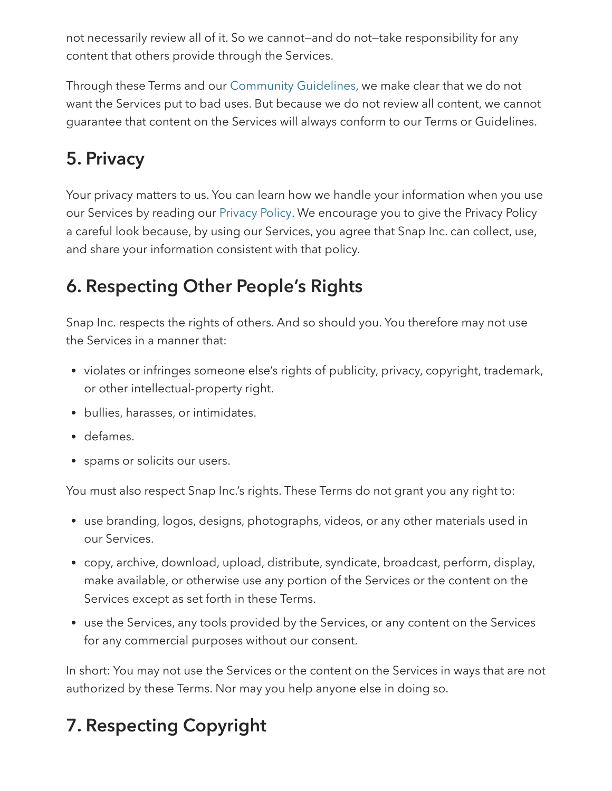not necessarily review all of it. So we cannot—and do not—take responsibility for any content that others provide through the Services.

Through these Terms and our [Community](https://support.snapchat.com/a/guidelines/) Guidelines, we make clear that we do not want the Services put to bad uses. But because we do not review all content, we cannot guarantee that content on the Services will always conform to our Terms or Guidelines.

#### 5. Privacy

Your privacy matters to us. You can learn how we handle your information when you use our Services by reading our [Privacy](https://www.snap.com/en-US/privacy/privacy-policy/) Policy. We encourage you to give the Privacy Policy a careful look because, by using our Services, you agree that Snap Inc. can collect, use, and share your information consistent with that policy.

#### 6. Respecting Other People's Rights

Snap Inc. respects the rights of others. And so should you. You therefore may not use the Services in a manner that:

- violates or infringes someone else's rights of publicity, privacy, copyright, trademark, or other intellectual-property right.
- bullies, harasses, or intimidates.
- defames.
- spams or solicits our users.

You must also respect Snap Inc.'s rights. These Terms do not grant you any right to:

- use branding, logos, designs, photographs, videos, or any other materials used in our Services.
- copy, archive, download, upload, distribute, syndicate, broadcast, perform, display, make available, or otherwise use any portion of the Services or the content on the Services except as set forth in these Terms.
- use the Services, any tools provided by the Services, or any content on the Services for any commercial purposes without our consent.

In short: You may not use the Services or the content on the Services in ways that are not authorized by these Terms. Nor may you help anyone else in doing so.

## 7. Respecting Copyright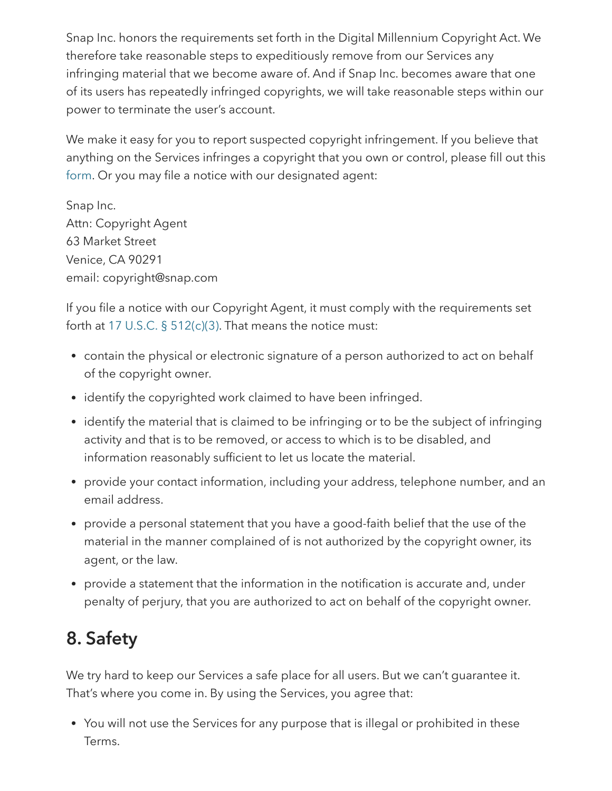Snap Inc. honors the requirements set forth in the Digital Millennium Copyright Act. We therefore take reasonable steps to expeditiously remove from our Services any infringing material that we become aware of. And if Snap Inc. becomes aware that one of its users has repeatedly infringed copyrights, we will take reasonable steps within our power to terminate the user's account.

We make it easy for you to report suspected copyright infringement. If you believe that anything on the Services infringes a copyright that you own or control, please fill out this [form.](https://support.snapchat.com/co/report-copyright/) Or you may file a notice with our designated agent:

Snap Inc. Attn: Copyright Agent 63 Market Street Venice, CA 90291 email: copyright@snap.com

If you file a notice with our Copyright Agent, it must comply with the requirements set forth at 17 U.S.C. § [512\(c\)\(3\)](https://www.law.cornell.edu/uscode/text/17/512). That means the notice must:

- contain the physical or electronic signature of a person authorized to act on behalf of the copyright owner.
- identify the copyrighted work claimed to have been infringed.
- identify the material that is claimed to be infringing or to be the subject of infringing activity and that is to be removed, or access to which is to be disabled, and information reasonably sufficient to let us locate the material.
- provide your contact information, including your address, telephone number, and an email address.
- provide a personal statement that you have a good-faith belief that the use of the material in the manner complained of is not authorized by the copyright owner, its agent, or the law.
- provide a statement that the information in the notification is accurate and, under penalty of perjury, that you are authorized to act on behalf of the copyright owner.

### 8. Safety

We try hard to keep our Services a safe place for all users. But we can't guarantee it. That's where you come in. By using the Services, you agree that:

You will not use the Services for any purpose that is illegal or prohibited in these Terms.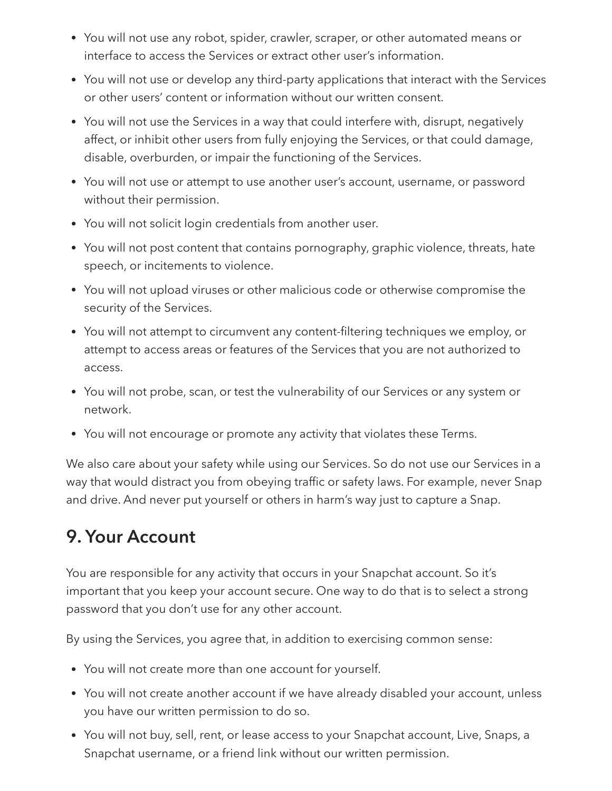- You will not use any robot, spider, crawler, scraper, or other automated means or interface to access the Services or extract other user's information.
- You will not use or develop any third-party applications that interact with the Services or other users' content or information without our written consent.
- You will not use the Services in a way that could interfere with, disrupt, negatively affect, or inhibit other users from fully enjoying the Services, or that could damage, disable, overburden, or impair the functioning of the Services.
- You will not use or attempt to use another user's account, username, or password without their permission.
- You will not solicit login credentials from another user.
- You will not post content that contains pornography, graphic violence, threats, hate speech, or incitements to violence.
- You will not upload viruses or other malicious code or otherwise compromise the security of the Services.
- You will not attempt to circumvent any content-filtering techniques we employ, or attempt to access areas or features of the Services that you are not authorized to access.
- You will not probe, scan, or test the vulnerability of our Services or any system or network.
- You will not encourage or promote any activity that violates these Terms.

We also care about your safety while using our Services. So do not use our Services in a way that would distract you from obeying traffic or safety laws. For example, never Snap and drive. And never put yourself or others in harm's way just to capture a Snap.

#### 9. Your Account

You are responsible for any activity that occurs in your Snapchat account. So it's important that you keep your account secure. One way to do that is to select a strong password that you don't use for any other account.

By using the Services, you agree that, in addition to exercising common sense:

- You will not create more than one account for yourself.
- You will not create another account if we have already disabled your account, unless you have our written permission to do so.
- You will not buy, sell, rent, or lease access to your Snapchat account, Live, Snaps, a Snapchat username, or a friend link without our written permission.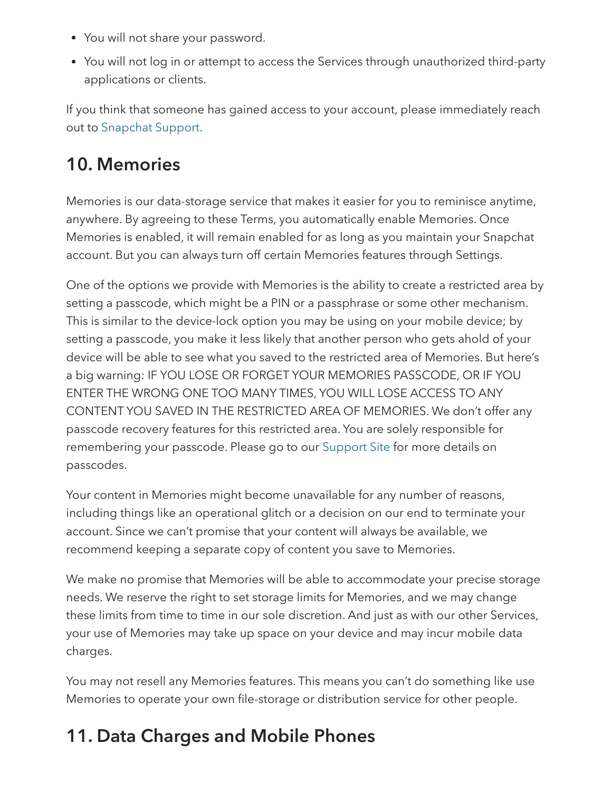- You will not share your password.
- You will not log in or attempt to access the Services through unauthorized third-party applications or clients.

If you think that someone has gained access to your account, please immediately reach out to [Snapchat](https://support.snapchat.com/a/hacked-howto/) Support.

#### 10. Memories

Memories is our data-storage service that makes it easier for you to reminisce anytime, anywhere. By agreeing to these Terms, you automatically enable Memories. Once Memories is enabled, it will remain enabled for as long as you maintain your Snapchat account. But you can always turn off certain Memories features through Settings.

One of the options we provide with Memories is the ability to create a restricted area by setting a passcode, which might be a PIN or a passphrase or some other mechanism. This is similar to the device-lock option you may be using on your mobile device; by setting a passcode, you make it less likely that another person who gets ahold of your device will be able to see what you saved to the restricted area of Memories. But here's a big warning: IF YOU LOSE OR FORGET YOUR MEMORIES PASSCODE, OR IF YOU ENTER THE WRONG ONE TOO MANY TIMES, YOU WILL LOSE ACCESS TO ANY CONTENT YOU SAVED IN THE RESTRICTED AREA OF MEMORIES. We don't offer any passcode recovery features for this restricted area. You are solely responsible for remembering your passcode. Please go to our [Support](https://support.snapchat.com/) Site for more details on passcodes.

Your content in Memories might become unavailable for any number of reasons, including things like an operational glitch or a decision on our end to terminate your account. Since we can't promise that your content will always be available, we recommend keeping a separate copy of content you save to Memories.

We make no promise that Memories will be able to accommodate your precise storage needs. We reserve the right to set storage limits for Memories, and we may change these limits from time to time in our sole discretion. And just as with our other Services, your use of Memories may take up space on your device and may incur mobile data charges.

You may not resell any Memories features. This means you can't do something like use Memories to operate your own file-storage or distribution service for other people.

### 11. Data Charges and Mobile Phones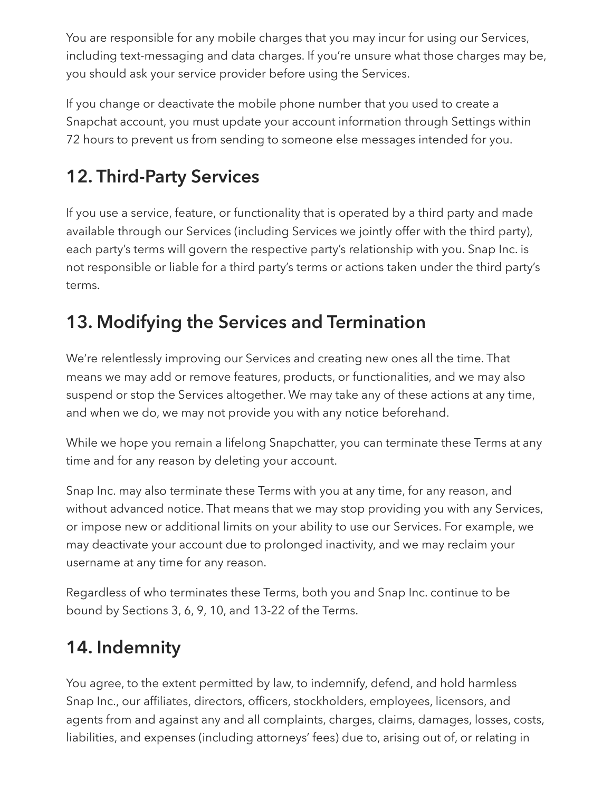You are responsible for any mobile charges that you may incur for using our Services, including text-messaging and data charges. If you're unsure what those charges may be, you should ask your service provider before using the Services.

If you change or deactivate the mobile phone number that you used to create a Snapchat account, you must update your account information through Settings within 72 hours to prevent us from sending to someone else messages intended for you.

# 12. Third-Party Services

If you use a service, feature, or functionality that is operated by a third party and made available through our Services (including Services we jointly offer with the third party), each party's terms will govern the respective party's relationship with you. Snap Inc. is not responsible or liable for a third party's terms or actions taken under the third party's terms.

### 13. Modifying the Services and Termination

We're relentlessly improving our Services and creating new ones all the time. That means we may add or remove features, products, or functionalities, and we may also suspend or stop the Services altogether. We may take any of these actions at any time, and when we do, we may not provide you with any notice beforehand.

While we hope you remain a lifelong Snapchatter, you can terminate these Terms at any time and for any reason by deleting your account.

Snap Inc. may also terminate these Terms with you at any time, for any reason, and without advanced notice. That means that we may stop providing you with any Services, or impose new or additional limits on your ability to use our Services. For example, we may deactivate your account due to prolonged inactivity, and we may reclaim your username at any time for any reason.

Regardless of who terminates these Terms, both you and Snap Inc. continue to be bound by Sections 3, 6, 9, 10, and 13-22 of the Terms.

# 14. Indemnity

You agree, to the extent permitted by law, to indemnify, defend, and hold harmless Snap Inc., our affiliates, directors, officers, stockholders, employees, licensors, and agents from and against any and all complaints, charges, claims, damages, losses, costs, liabilities, and expenses (including attorneys' fees) due to, arising out of, or relating in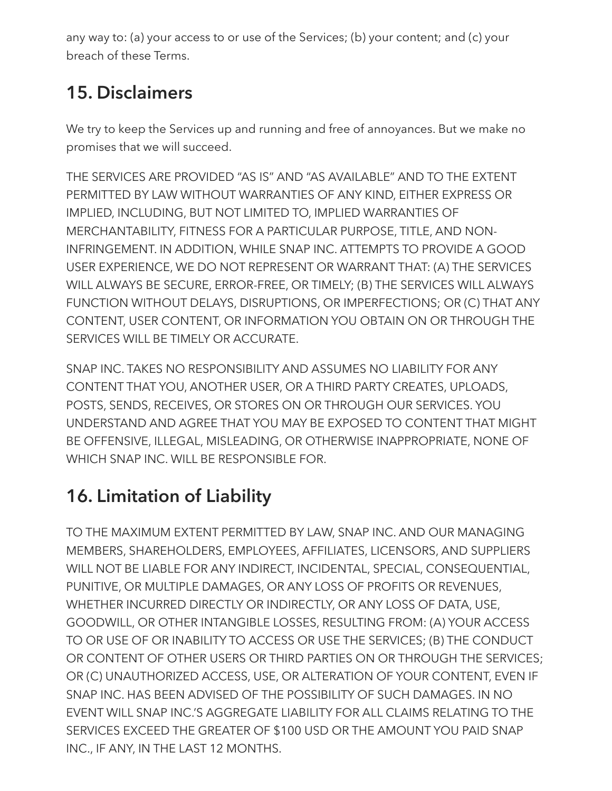any way to: (a) your access to or use of the Services; (b) your content; and (c) your breach of these Terms.

## 15. Disclaimers

We try to keep the Services up and running and free of annoyances. But we make no promises that we will succeed.

THE SERVICES ARE PROVIDED "AS IS" AND "AS AVAILABLE" AND TO THE EXTENT PERMITTED BY LAW WITHOUT WARRANTIES OF ANY KIND, EITHER EXPRESS OR IMPLIED, INCLUDING, BUT NOT LIMITED TO, IMPLIED WARRANTIES OF MERCHANTABILITY, FITNESS FOR A PARTICULAR PURPOSE, TITLE, AND NON-INFRINGEMENT. IN ADDITION, WHILE SNAP INC. ATTEMPTS TO PROVIDE A GOOD USER EXPERIENCE, WE DO NOT REPRESENT OR WARRANT THAT: (A) THE SERVICES WILL ALWAYS BE SECURE, ERROR-FREE, OR TIMELY; (B) THE SERVICES WILL ALWAYS FUNCTION WITHOUT DELAYS, DISRUPTIONS, OR IMPERFECTIONS; OR (C) THAT ANY CONTENT, USER CONTENT, OR INFORMATION YOU OBTAIN ON OR THROUGH THE SERVICES WILL BE TIMELY OR ACCURATE.

SNAP INC. TAKES NO RESPONSIBILITY AND ASSUMES NO LIABILITY FOR ANY CONTENT THAT YOU, ANOTHER USER, OR A THIRD PARTY CREATES, UPLOADS, POSTS, SENDS, RECEIVES, OR STORES ON OR THROUGH OUR SERVICES. YOU UNDERSTAND AND AGREE THAT YOU MAY BE EXPOSED TO CONTENT THAT MIGHT BE OFFENSIVE, ILLEGAL, MISLEADING, OR OTHERWISE INAPPROPRIATE, NONE OF WHICH SNAP INC. WILL BE RESPONSIBLE FOR.

# 16. Limitation of Liability

TO THE MAXIMUM EXTENT PERMITTED BY LAW, SNAP INC. AND OUR MANAGING MEMBERS, SHAREHOLDERS, EMPLOYEES, AFFILIATES, LICENSORS, AND SUPPLIERS WILL NOT BE LIABLE FOR ANY INDIRECT, INCIDENTAL, SPECIAL, CONSEQUENTIAL, PUNITIVE, OR MULTIPLE DAMAGES, OR ANY LOSS OF PROFITS OR REVENUES, WHETHER INCURRED DIRECTLY OR INDIRECTLY, OR ANY LOSS OF DATA, USE, GOODWILL, OR OTHER INTANGIBLE LOSSES, RESULTING FROM: (A) YOUR ACCESS TO OR USE OF OR INABILITY TO ACCESS OR USE THE SERVICES; (B) THE CONDUCT OR CONTENT OF OTHER USERS OR THIRD PARTIES ON OR THROUGH THE SERVICES; OR (C) UNAUTHORIZED ACCESS, USE, OR ALTERATION OF YOUR CONTENT, EVEN IF SNAP INC. HAS BEEN ADVISED OF THE POSSIBILITY OF SUCH DAMAGES. IN NO EVENT WILL SNAP INC.'S AGGREGATE LIABILITY FOR ALL CLAIMS RELATING TO THE SERVICES EXCEED THE GREATER OF \$100 USD OR THE AMOUNT YOU PAID SNAP INC., IF ANY, IN THE LAST 12 MONTHS.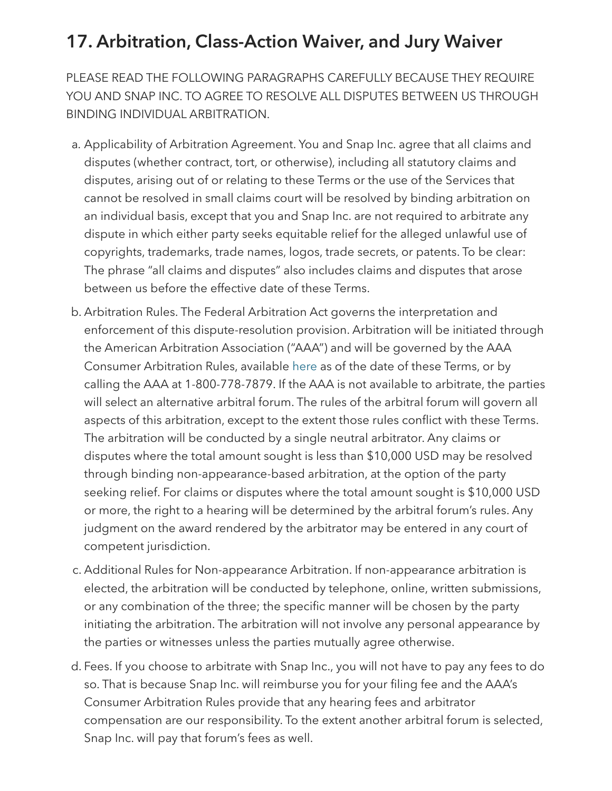#### <span id="page-9-0"></span>17. Arbitration, Class-Action Waiver, and Jury Waiver

PLEASE READ THE FOLLOWING PARAGRAPHS CAREFULLY BECAUSE THEY REQUIRE YOU AND SNAP INC. TO AGREE TO RESOLVE ALL DISPUTES BETWEEN US THROUGH BINDING INDIVIDUAL ARBITRATION.

- a. Applicability of Arbitration Agreement. You and Snap Inc. agree that all claims and disputes (whether contract, tort, or otherwise), including all statutory claims and disputes, arising out of or relating to these Terms or the use of the Services that cannot be resolved in small claims court will be resolved by binding arbitration on an individual basis, except that you and Snap Inc. are not required to arbitrate any dispute in which either party seeks equitable relief for the alleged unlawful use of copyrights, trademarks, trade names, logos, trade secrets, or patents. To be clear: The phrase "all claims and disputes" also includes claims and disputes that arose between us before the effective date of these Terms.
- b. Arbitration Rules. The Federal Arbitration Act governs the interpretation and enforcement of this dispute-resolution provision. Arbitration will be initiated through the American Arbitration Association ("AAA") and will be governed by the AAA Consumer Arbitration Rules, available [here](https://www.adr.org/aaa/ShowProperty?nodeId=/UCM/ADRSTAGE2021425&revision=latestreleased) as of the date of these Terms, or by calling the AAA at 1-800-778-7879. If the AAA is not available to arbitrate, the parties will select an alternative arbitral forum. The rules of the arbitral forum will govern all aspects of this arbitration, except to the extent those rules conflict with these Terms. The arbitration will be conducted by a single neutral arbitrator. Any claims or disputes where the total amount sought is less than \$10,000 USD may be resolved through binding non-appearance-based arbitration, at the option of the party seeking relief. For claims or disputes where the total amount sought is \$10,000 USD or more, the right to a hearing will be determined by the arbitral forum's rules. Any judgment on the award rendered by the arbitrator may be entered in any court of competent jurisdiction.
- c. Additional Rules for Non-appearance Arbitration. If non-appearance arbitration is elected, the arbitration will be conducted by telephone, online, written submissions, or any combination of the three; the specific manner will be chosen by the party initiating the arbitration. The arbitration will not involve any personal appearance by the parties or witnesses unless the parties mutually agree otherwise.
- d. Fees. If you choose to arbitrate with Snap Inc., you will not have to pay any fees to do so. That is because Snap Inc. will reimburse you for your filing fee and the AAA's Consumer Arbitration Rules provide that any hearing fees and arbitrator compensation are our responsibility. To the extent another arbitral forum is selected, Snap Inc. will pay that forum's fees as well.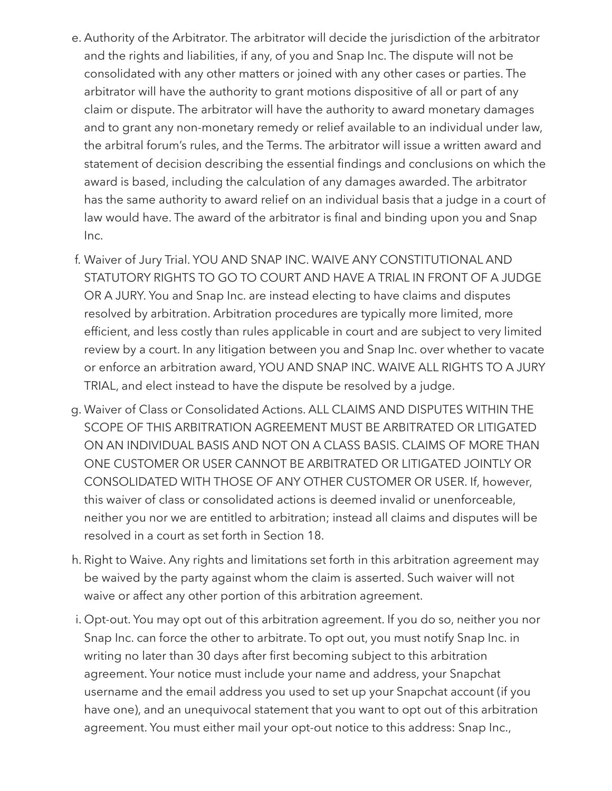- e. Authority of the Arbitrator. The arbitrator will decide the jurisdiction of the arbitrator and the rights and liabilities, if any, of you and Snap Inc. The dispute will not be consolidated with any other matters or joined with any other cases or parties. The arbitrator will have the authority to grant motions dispositive of all or part of any claim or dispute. The arbitrator will have the authority to award monetary damages and to grant any non-monetary remedy or relief available to an individual under law, the arbitral forum's rules, and the Terms. The arbitrator will issue a written award and statement of decision describing the essential findings and conclusions on which the award is based, including the calculation of any damages awarded. The arbitrator has the same authority to award relief on an individual basis that a judge in a court of law would have. The award of the arbitrator is final and binding upon you and Snap Inc.
- f. Waiver of Jury Trial. YOU AND SNAP INC. WAIVE ANY CONSTITUTIONAL AND STATUTORY RIGHTS TO GO TO COURT AND HAVE A TRIAL IN FRONT OF A JUDGE OR A JURY. You and Snap Inc. are instead electing to have claims and disputes resolved by arbitration. Arbitration procedures are typically more limited, more efficient, and less costly than rules applicable in court and are subject to very limited review by a court. In any litigation between you and Snap Inc. over whether to vacate or enforce an arbitration award, YOU AND SNAP INC. WAIVE ALL RIGHTS TO A JURY TRIAL, and elect instead to have the dispute be resolved by a judge.
- g. Waiver of Class or Consolidated Actions. ALL CLAIMS AND DISPUTES WITHIN THE SCOPE OF THIS ARBITRATION AGREEMENT MUST BE ARBITRATED OR LITIGATED ON AN INDIVIDUAL BASIS AND NOT ON A CLASS BASIS. CLAIMS OF MORE THAN ONE CUSTOMER OR USER CANNOT BE ARBITRATED OR LITIGATED JOINTLY OR CONSOLIDATED WITH THOSE OF ANY OTHER CUSTOMER OR USER. If, however, this waiver of class or consolidated actions is deemed invalid or unenforceable, neither you nor we are entitled to arbitration; instead all claims and disputes will be resolved in a court as set forth in Section 18.
- h. Right to Waive. Any rights and limitations set forth in this arbitration agreement may be waived by the party against whom the claim is asserted. Such waiver will not waive or affect any other portion of this arbitration agreement.
- i. Opt-out. You may opt out of this arbitration agreement. If you do so, neither you nor Snap Inc. can force the other to arbitrate. To opt out, you must notify Snap Inc. in writing no later than 30 days after first becoming subject to this arbitration agreement. Your notice must include your name and address, your Snapchat username and the email address you used to set up your Snapchat account (if you have one), and an unequivocal statement that you want to opt out of this arbitration agreement. You must either mail your opt-out notice to this address: Snap Inc.,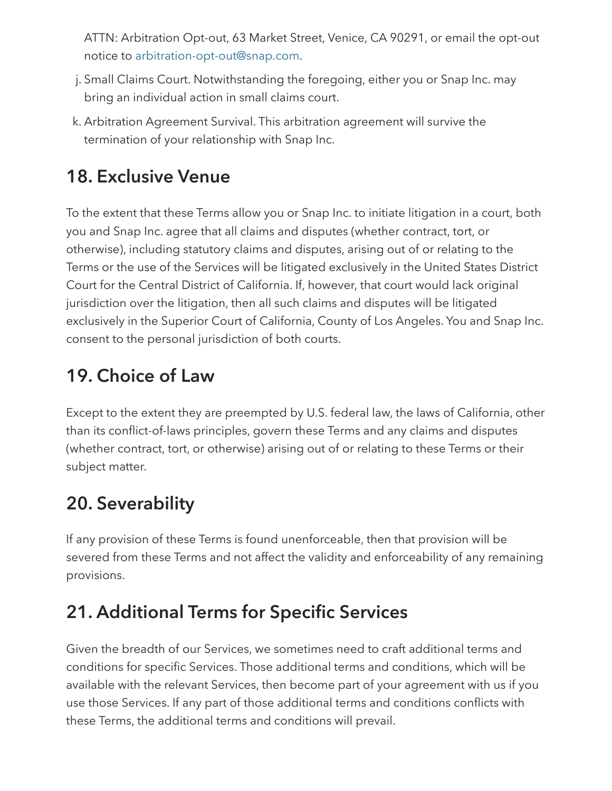ATTN: Arbitration Opt-out, 63 Market Street, Venice, CA 90291, or email the opt-out notice to [arbitration-opt-out@snap.com](mailto:arbitration-opt-out@snap.com).

- j. Small Claims Court. Notwithstanding the foregoing, either you or Snap Inc. may bring an individual action in small claims court.
- k. Arbitration Agreement Survival. This arbitration agreement will survive the termination of your relationship with Snap Inc.

### 18. Exclusive Venue

To the extent that these Terms allow you or Snap Inc. to initiate litigation in a court, both you and Snap Inc. agree that all claims and disputes (whether contract, tort, or otherwise), including statutory claims and disputes, arising out of or relating to the Terms or the use of the Services will be litigated exclusively in the United States District Court for the Central District of California. If, however, that court would lack original jurisdiction over the litigation, then all such claims and disputes will be litigated exclusively in the Superior Court of California, County of Los Angeles. You and Snap Inc. consent to the personal jurisdiction of both courts.

## 19. Choice of Law

Except to the extent they are preempted by U.S. federal law, the laws of California, other than its conflict-of-laws principles, govern these Terms and any claims and disputes (whether contract, tort, or otherwise) arising out of or relating to these Terms or their subject matter.

### 20. Severability

If any provision of these Terms is found unenforceable, then that provision will be severed from these Terms and not affect the validity and enforceability of any remaining provisions.

## 21. Additional Terms for Specific Services

Given the breadth of our Services, we sometimes need to craft additional terms and conditions for specific Services. Those additional terms and conditions, which will be available with the relevant Services, then become part of your agreement with us if you use those Services. If any part of those additional terms and conditions conflicts with these Terms, the additional terms and conditions will prevail.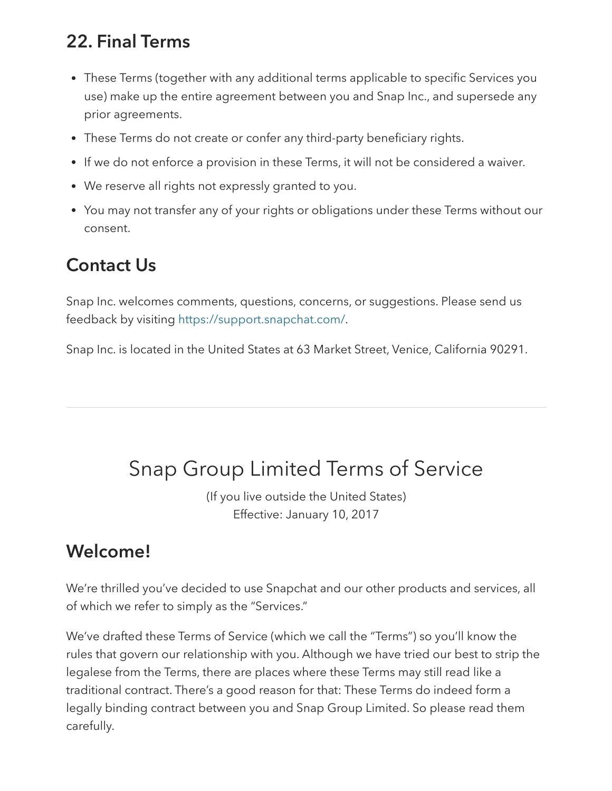#### 22. Final Terms

- These Terms (together with any additional terms applicable to specific Services you use) make up the entire agreement between you and Snap Inc., and supersede any prior agreements.
- These Terms do not create or confer any third-party beneficiary rights.
- If we do not enforce a provision in these Terms, it will not be considered a waiver.
- We reserve all rights not expressly granted to you.
- You may not transfer any of your rights or obligations under these Terms without our consent.

#### Contact Us

Snap Inc. welcomes comments, questions, concerns, or suggestions. Please send us feedback by visiting <https://support.snapchat.com/>.

Snap Inc. is located in the United States at 63 Market Street, Venice, California 90291.

# <span id="page-12-0"></span>Snap Group Limited Terms of Service

(If you live outside the United States) Effective: January 10, 2017

#### Welcome!

We're thrilled you've decided to use Snapchat and our other products and services, all of which we refer to simply as the "Services."

We've drafted these Terms of Service (which we call the "Terms") so you'll know the rules that govern our relationship with you. Although we have tried our best to strip the legalese from the Terms, there are places where these Terms may still read like a traditional contract. There's a good reason for that: These Terms do indeed form a legally binding contract between you and Snap Group Limited. So please read them carefully.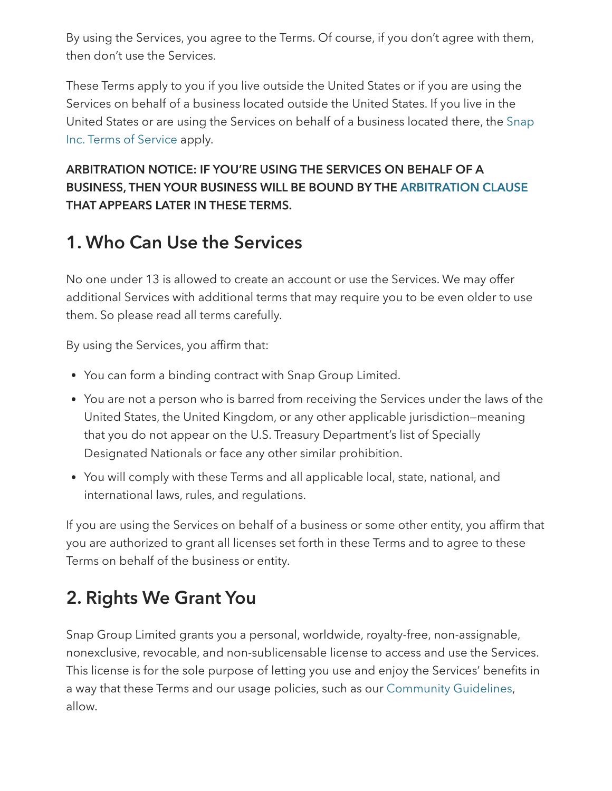By using the Services, you agree to the Terms. Of course, if you don't agree with them, then don't use the Services.

These Terms apply to you if you live outside the United States or if you are using the Services on behalf of a business located outside the United States. If you live in the United States or are using the Services on behalf of a [business](#page-0-0) located there, the Snap Inc. Terms of Service apply.

ARBITRATION NOTICE: IF YOU'RE USING THE SERVICES ON BEHALF OF A BUSINESS, THEN YOUR BUSINESS WILL BE BOUND BY THE [ARBITRATION](#page-21-0) CLAUSE THAT APPEARS LATER IN THESE TERMS.

#### 1. Who Can Use the Services

No one under 13 is allowed to create an account or use the Services. We may offer additional Services with additional terms that may require you to be even older to use them. So please read all terms carefully.

By using the Services, you affirm that:

- You can form a binding contract with Snap Group Limited.
- You are not a person who is barred from receiving the Services under the laws of the United States, the United Kingdom, or any other applicable jurisdiction—meaning that you do not appear on the U.S. Treasury Department's list of Specially Designated Nationals or face any other similar prohibition.
- You will comply with these Terms and all applicable local, state, national, and international laws, rules, and regulations.

If you are using the Services on behalf of a business or some other entity, you affirm that you are authorized to grant all licenses set forth in these Terms and to agree to these Terms on behalf of the business or entity.

### 2. Rights We Grant You

Snap Group Limited grants you a personal, worldwide, royalty-free, non-assignable, nonexclusive, revocable, and non-sublicensable license to access and use the Services. This license is for the sole purpose of letting you use and enjoy the Services' benefits in a way that these Terms and our usage policies, such as our [Community](https://support.snapchat.com/a/guidelines) Guidelines, allow.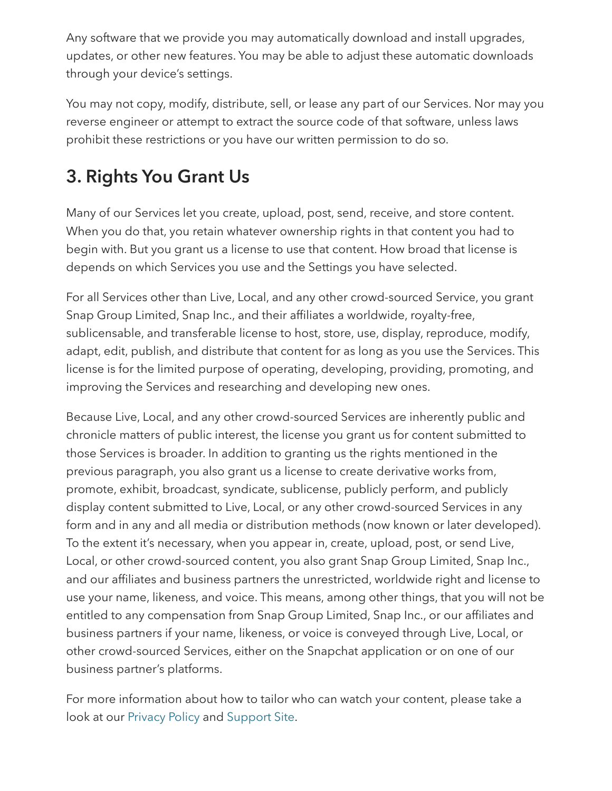Any software that we provide you may automatically download and install upgrades, updates, or other new features. You may be able to adjust these automatic downloads through your device's settings.

You may not copy, modify, distribute, sell, or lease any part of our Services. Nor may you reverse engineer or attempt to extract the source code of that software, unless laws prohibit these restrictions or you have our written permission to do so.

## 3. Rights You Grant Us

Many of our Services let you create, upload, post, send, receive, and store content. When you do that, you retain whatever ownership rights in that content you had to begin with. But you grant us a license to use that content. How broad that license is depends on which Services you use and the Settings you have selected.

For all Services other than Live, Local, and any other crowd-sourced Service, you grant Snap Group Limited, Snap Inc., and their affiliates a worldwide, royalty-free, sublicensable, and transferable license to host, store, use, display, reproduce, modify, adapt, edit, publish, and distribute that content for as long as you use the Services. This license is for the limited purpose of operating, developing, providing, promoting, and improving the Services and researching and developing new ones.

Because Live, Local, and any other crowd-sourced Services are inherently public and chronicle matters of public interest, the license you grant us for content submitted to those Services is broader. In addition to granting us the rights mentioned in the previous paragraph, you also grant us a license to create derivative works from, promote, exhibit, broadcast, syndicate, sublicense, publicly perform, and publicly display content submitted to Live, Local, or any other crowd-sourced Services in any form and in any and all media or distribution methods (now known or later developed). To the extent it's necessary, when you appear in, create, upload, post, or send Live, Local, or other crowd-sourced content, you also grant Snap Group Limited, Snap Inc., and our affiliates and business partners the unrestricted, worldwide right and license to use your name, likeness, and voice. This means, among other things, that you will not be entitled to any compensation from Snap Group Limited, Snap Inc., or our affiliates and business partners if your name, likeness, or voice is conveyed through Live, Local, or other crowd-sourced Services, either on the Snapchat application or on one of our business partner's platforms.

For more information about how to tailor who can watch your content, please take a look at our [Privacy](https://www.snap.com/en-US/privacy/privacy-policy/) Policy and [Support](https://support.snapchat.com/) Site.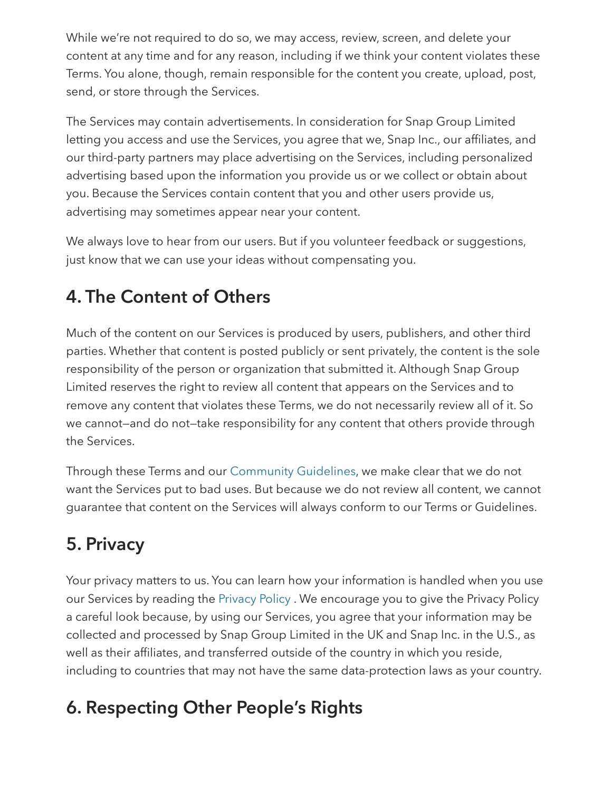While we're not required to do so, we may access, review, screen, and delete your content at any time and for any reason, including if we think your content violates these Terms. You alone, though, remain responsible for the content you create, upload, post, send, or store through the Services.

The Services may contain advertisements. In consideration for Snap Group Limited letting you access and use the Services, you agree that we, Snap Inc., our affiliates, and our third-party partners may place advertising on the Services, including personalized advertising based upon the information you provide us or we collect or obtain about you. Because the Services contain content that you and other users provide us, advertising may sometimes appear near your content.

We always love to hear from our users. But if you volunteer feedback or suggestions, just know that we can use your ideas without compensating you.

### 4. The Content of Others

Much of the content on our Services is produced by users, publishers, and other third parties. Whether that content is posted publicly or sent privately, the content is the sole responsibility of the person or organization that submitted it. Although Snap Group Limited reserves the right to review all content that appears on the Services and to remove any content that violates these Terms, we do not necessarily review all of it. So we cannot—and do not—take responsibility for any content that others provide through the Services.

Through these Terms and our [Community](https://support.snapchat.com/a/guidelines) Guidelines, we make clear that we do not want the Services put to bad uses. But because we do not review all content, we cannot guarantee that content on the Services will always conform to our Terms or Guidelines.

## 5. Privacy

Your privacy matters to us. You can learn how your information is handled when you use our Services by reading the [Privacy](https://www.snap.com/en-US/privacy/privacy-policy/) Policy . We encourage you to give the Privacy Policy a careful look because, by using our Services, you agree that your information may be collected and processed by Snap Group Limited in the UK and Snap Inc. in the U.S., as well as their affiliates, and transferred outside of the country in which you reside, including to countries that may not have the same data-protection laws as your country.

### 6. Respecting Other People's Rights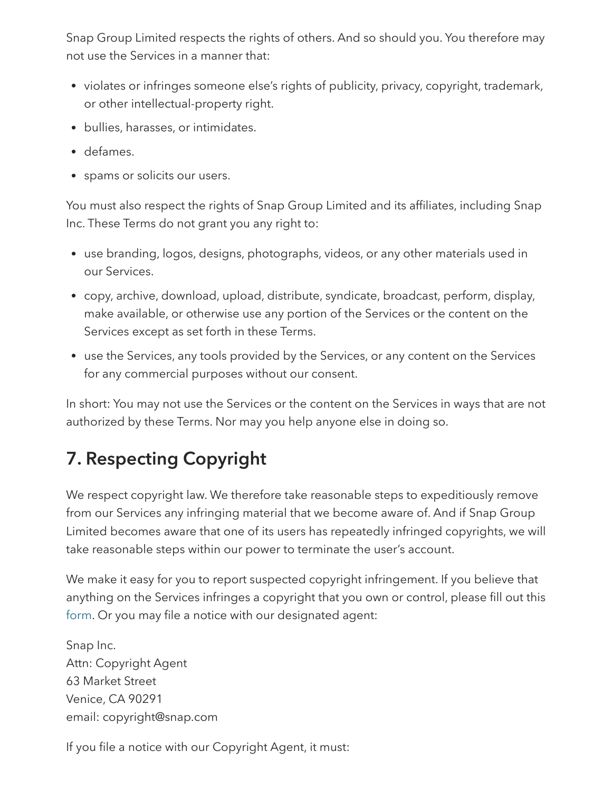Snap Group Limited respects the rights of others. And so should you. You therefore may not use the Services in a manner that:

- violates or infringes someone else's rights of publicity, privacy, copyright, trademark, or other intellectual-property right.
- bullies, harasses, or intimidates.
- defames.
- spams or solicits our users.

You must also respect the rights of Snap Group Limited and its affiliates, including Snap Inc. These Terms do not grant you any right to:

- use branding, logos, designs, photographs, videos, or any other materials used in our Services.
- copy, archive, download, upload, distribute, syndicate, broadcast, perform, display, make available, or otherwise use any portion of the Services or the content on the Services except as set forth in these Terms.
- use the Services, any tools provided by the Services, or any content on the Services for any commercial purposes without our consent.

In short: You may not use the Services or the content on the Services in ways that are not authorized by these Terms. Nor may you help anyone else in doing so.

## 7. Respecting Copyright

We respect copyright law. We therefore take reasonable steps to expeditiously remove from our Services any infringing material that we become aware of. And if Snap Group Limited becomes aware that one of its users has repeatedly infringed copyrights, we will take reasonable steps within our power to terminate the user's account.

We make it easy for you to report suspected copyright infringement. If you believe that anything on the Services infringes a copyright that you own or control, please fill out this [form.](https://support.snapchat.com/co/report-copyright/) Or you may file a notice with our designated agent:

Snap Inc. Attn: Copyright Agent 63 Market Street Venice, CA 90291 email: copyright@snap.com

If you file a notice with our Copyright Agent, it must: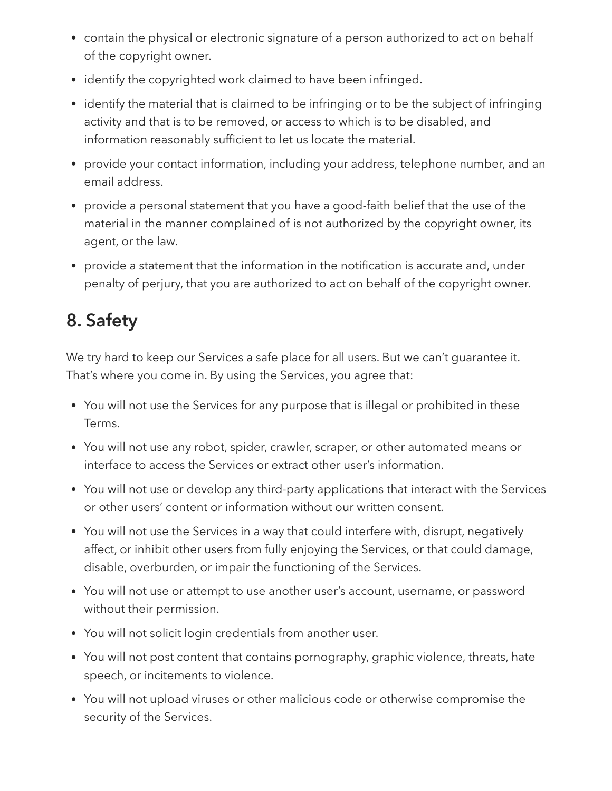- contain the physical or electronic signature of a person authorized to act on behalf of the copyright owner.
- identify the copyrighted work claimed to have been infringed.
- identify the material that is claimed to be infringing or to be the subject of infringing activity and that is to be removed, or access to which is to be disabled, and information reasonably sufficient to let us locate the material.
- provide your contact information, including your address, telephone number, and an email address.
- provide a personal statement that you have a good-faith belief that the use of the material in the manner complained of is not authorized by the copyright owner, its agent, or the law.
- provide a statement that the information in the notification is accurate and, under penalty of perjury, that you are authorized to act on behalf of the copyright owner.

# 8. Safety

We try hard to keep our Services a safe place for all users. But we can't guarantee it. That's where you come in. By using the Services, you agree that:

- You will not use the Services for any purpose that is illegal or prohibited in these Terms.
- You will not use any robot, spider, crawler, scraper, or other automated means or interface to access the Services or extract other user's information.
- You will not use or develop any third-party applications that interact with the Services or other users' content or information without our written consent.
- You will not use the Services in a way that could interfere with, disrupt, negatively affect, or inhibit other users from fully enjoying the Services, or that could damage, disable, overburden, or impair the functioning of the Services.
- You will not use or attempt to use another user's account, username, or password without their permission.
- You will not solicit login credentials from another user.
- You will not post content that contains pornography, graphic violence, threats, hate speech, or incitements to violence.
- You will not upload viruses or other malicious code or otherwise compromise the security of the Services.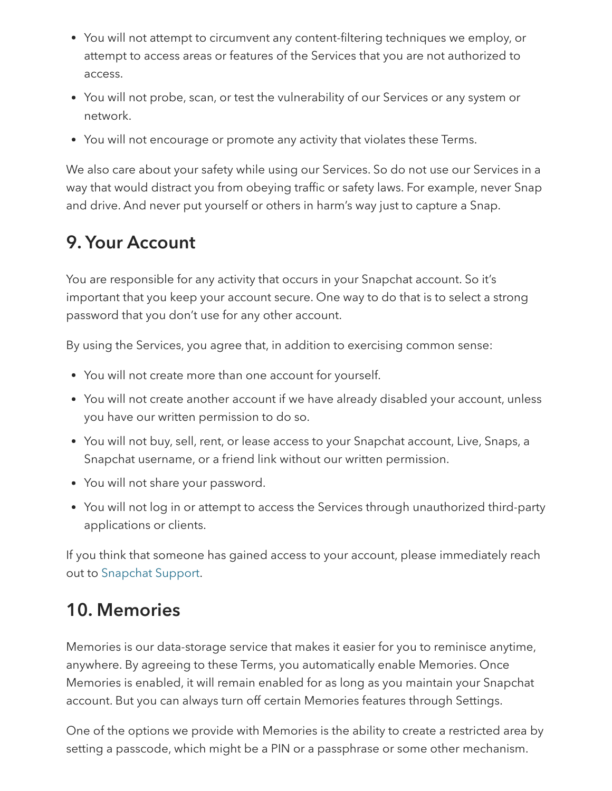- You will not attempt to circumvent any content-filtering techniques we employ, or attempt to access areas or features of the Services that you are not authorized to access.
- You will not probe, scan, or test the vulnerability of our Services or any system or network.
- You will not encourage or promote any activity that violates these Terms.

We also care about your safety while using our Services. So do not use our Services in a way that would distract you from obeying traffic or safety laws. For example, never Snap and drive. And never put yourself or others in harm's way just to capture a Snap.

### 9. Your Account

You are responsible for any activity that occurs in your Snapchat account. So it's important that you keep your account secure. One way to do that is to select a strong password that you don't use for any other account.

By using the Services, you agree that, in addition to exercising common sense:

- You will not create more than one account for yourself.
- You will not create another account if we have already disabled your account, unless you have our written permission to do so.
- You will not buy, sell, rent, or lease access to your Snapchat account, Live, Snaps, a Snapchat username, or a friend link without our written permission.
- You will not share your password.
- You will not log in or attempt to access the Services through unauthorized third-party applications or clients.

If you think that someone has gained access to your account, please immediately reach out to [Snapchat](https://support.snapchat.com/a/hacked-howto/) Support.

### 10. Memories

Memories is our data-storage service that makes it easier for you to reminisce anytime, anywhere. By agreeing to these Terms, you automatically enable Memories. Once Memories is enabled, it will remain enabled for as long as you maintain your Snapchat account. But you can always turn off certain Memories features through Settings.

One of the options we provide with Memories is the ability to create a restricted area by setting a passcode, which might be a PIN or a passphrase or some other mechanism.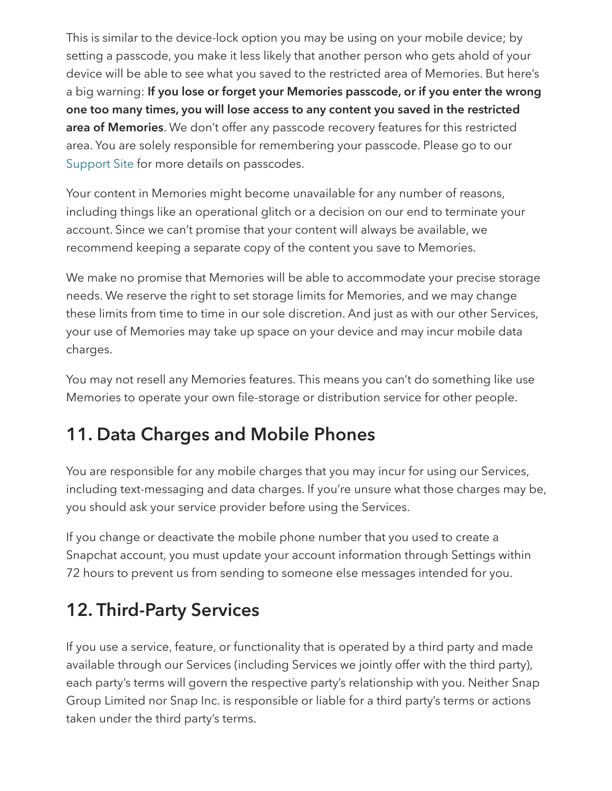This is similar to the device-lock option you may be using on your mobile device; by setting a passcode, you make it less likely that another person who gets ahold of your device will be able to see what you saved to the restricted area of Memories. But here's a big warning: If you lose or forget your Memories passcode, or if you enter the wrong one too many times, you will lose access to any content you saved in the restricted area of Memories. We don't offer any passcode recovery features for this restricted area. You are solely responsible for remembering your passcode. Please go to our [Support](https://support.snapchat.com/) Site for more details on passcodes.

Your content in Memories might become unavailable for any number of reasons, including things like an operational glitch or a decision on our end to terminate your account. Since we can't promise that your content will always be available, we recommend keeping a separate copy of the content you save to Memories.

We make no promise that Memories will be able to accommodate your precise storage needs. We reserve the right to set storage limits for Memories, and we may change these limits from time to time in our sole discretion. And just as with our other Services, your use of Memories may take up space on your device and may incur mobile data charges.

You may not resell any Memories features. This means you can't do something like use Memories to operate your own file-storage or distribution service for other people.

### 11. Data Charges and Mobile Phones

You are responsible for any mobile charges that you may incur for using our Services, including text-messaging and data charges. If you're unsure what those charges may be, you should ask your service provider before using the Services.

If you change or deactivate the mobile phone number that you used to create a Snapchat account, you must update your account information through Settings within 72 hours to prevent us from sending to someone else messages intended for you.

### 12. Third-Party Services

If you use a service, feature, or functionality that is operated by a third party and made available through our Services (including Services we jointly offer with the third party), each party's terms will govern the respective party's relationship with you. Neither Snap Group Limited nor Snap Inc. is responsible or liable for a third party's terms or actions taken under the third party's terms.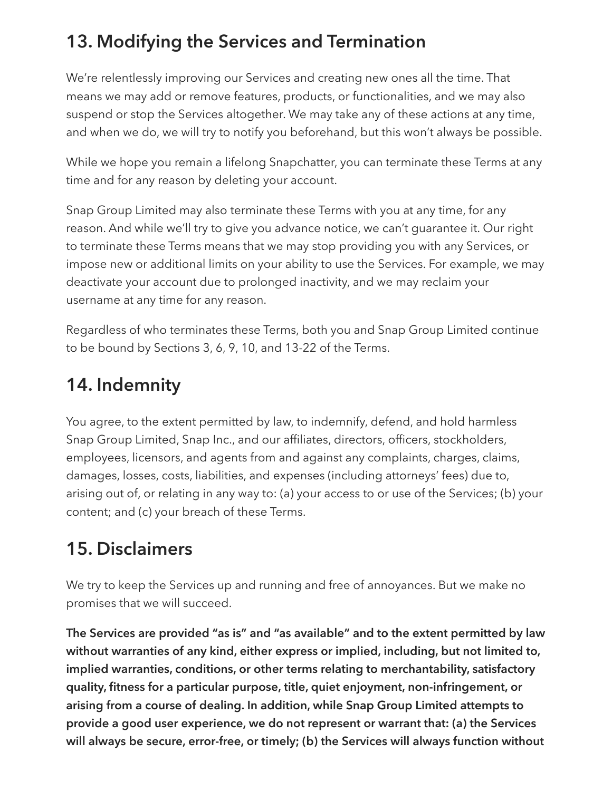### 13. Modifying the Services and Termination

We're relentlessly improving our Services and creating new ones all the time. That means we may add or remove features, products, or functionalities, and we may also suspend or stop the Services altogether. We may take any of these actions at any time, and when we do, we will try to notify you beforehand, but this won't always be possible.

While we hope you remain a lifelong Snapchatter, you can terminate these Terms at any time and for any reason by deleting your account.

Snap Group Limited may also terminate these Terms with you at any time, for any reason. And while we'll try to give you advance notice, we can't guarantee it. Our right to terminate these Terms means that we may stop providing you with any Services, or impose new or additional limits on your ability to use the Services. For example, we may deactivate your account due to prolonged inactivity, and we may reclaim your username at any time for any reason.

Regardless of who terminates these Terms, both you and Snap Group Limited continue to be bound by Sections 3, 6, 9, 10, and 13-22 of the Terms.

#### 14. Indemnity

You agree, to the extent permitted by law, to indemnify, defend, and hold harmless Snap Group Limited, Snap Inc., and our affiliates, directors, officers, stockholders, employees, licensors, and agents from and against any complaints, charges, claims, damages, losses, costs, liabilities, and expenses (including attorneys' fees) due to, arising out of, or relating in any way to: (a) your access to or use of the Services; (b) your content; and (c) your breach of these Terms.

### 15. Disclaimers

We try to keep the Services up and running and free of annoyances. But we make no promises that we will succeed.

The Services are provided "as is" and "as available" and to the extent permitted by law without warranties of any kind, either express or implied, including, but not limited to, implied warranties, conditions, or other terms relating to merchantability, satisfactory quality, fitness for a particular purpose, title, quiet enjoyment, non-infringement, or arising from a course of dealing. In addition, while Snap Group Limited attempts to provide a good user experience, we do not represent or warrant that: (a) the Services will always be secure, error-free, or timely; (b) the Services will always function without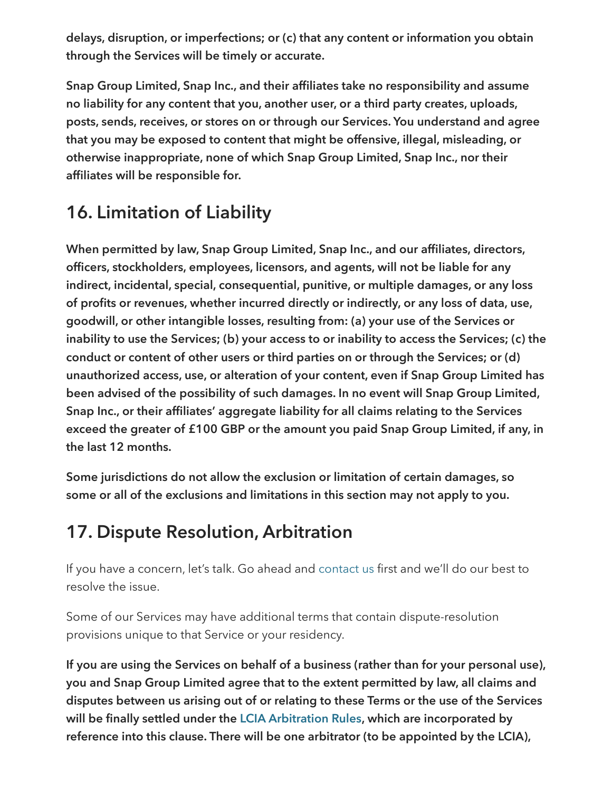delays, disruption, or imperfections; or (c) that any content or information you obtain through the Services will be timely or accurate.

Snap Group Limited, Snap Inc., and their affiliates take no responsibility and assume no liability for any content that you, another user, or a third party creates, uploads, posts, sends, receives, or stores on or through our Services. You understand and agree that you may be exposed to content that might be offensive, illegal, misleading, or otherwise inappropriate, none of which Snap Group Limited, Snap Inc., nor their affiliates will be responsible for.

### 16. Limitation of Liability

When permitted by law, Snap Group Limited, Snap Inc., and our affiliates, directors, officers, stockholders, employees, licensors, and agents, will not be liable for any indirect, incidental, special, consequential, punitive, or multiple damages, or any loss of profits or revenues, whether incurred directly or indirectly, or any loss of data, use, goodwill, or other intangible losses, resulting from: (a) your use of the Services or inability to use the Services; (b) your access to or inability to access the Services; (c) the conduct or content of other users or third parties on or through the Services; or (d) unauthorized access, use, or alteration of your content, even if Snap Group Limited has been advised of the possibility of such damages. In no event will Snap Group Limited, Snap Inc., or their affiliates' aggregate liability for all claims relating to the Services exceed the greater of £100 GBP or the amount you paid Snap Group Limited, if any, in the last 12 months.

Some jurisdictions do not allow the exclusion or limitation of certain damages, so some or all of the exclusions and limitations in this section may not apply to you.

#### <span id="page-21-0"></span>17. Dispute Resolution, Arbitration

If you have a concern, let's talk. Go ahead and [contact](https://support.snapchat.com/) us first and we'll do our best to resolve the issue.

Some of our Services may have additional terms that contain dispute-resolution provisions unique to that Service or your residency.

If you are using the Services on behalf of a business (rather than for your personal use), you and Snap Group Limited agree that to the extent permitted by law, all claims and disputes between us arising out of or relating to these Terms or the use of the Services will be finally settled under the LCIA [Arbitration](http://www.lcia.org/Dispute_Resolution_Services/lcia-arbitration-rules-2014.aspx) Rules, which are incorporated by reference into this clause. There will be one arbitrator (to be appointed by the LCIA),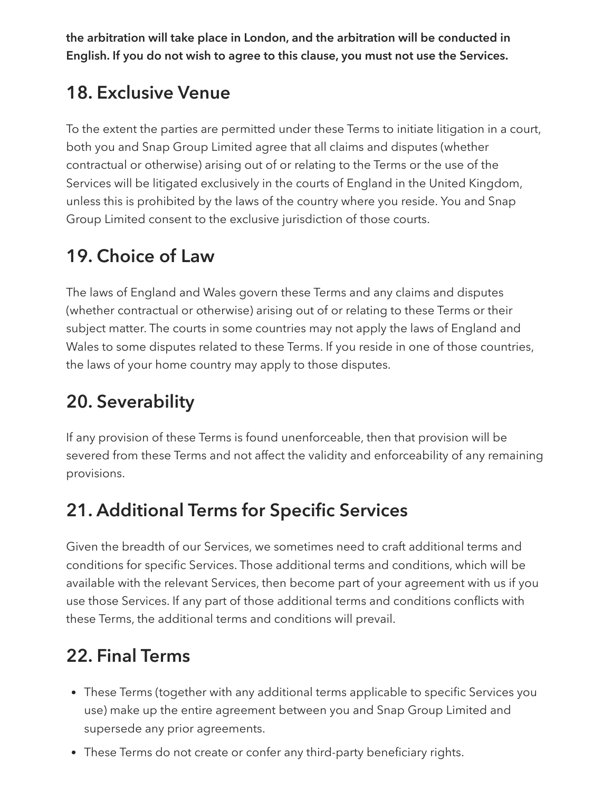the arbitration will take place in London, and the arbitration will be conducted in English. If you do not wish to agree to this clause, you must not use the Services.

### 18. Exclusive Venue

To the extent the parties are permitted under these Terms to initiate litigation in a court, both you and Snap Group Limited agree that all claims and disputes (whether contractual or otherwise) arising out of or relating to the Terms or the use of the Services will be litigated exclusively in the courts of England in the United Kingdom, unless this is prohibited by the laws of the country where you reside. You and Snap Group Limited consent to the exclusive jurisdiction of those courts.

### 19. Choice of Law

The laws of England and Wales govern these Terms and any claims and disputes (whether contractual or otherwise) arising out of or relating to these Terms or their subject matter. The courts in some countries may not apply the laws of England and Wales to some disputes related to these Terms. If you reside in one of those countries, the laws of your home country may apply to those disputes.

## 20. Severability

If any provision of these Terms is found unenforceable, then that provision will be severed from these Terms and not affect the validity and enforceability of any remaining provisions.

## 21. Additional Terms for Specific Services

Given the breadth of our Services, we sometimes need to craft additional terms and conditions for specific Services. Those additional terms and conditions, which will be available with the relevant Services, then become part of your agreement with us if you use those Services. If any part of those additional terms and conditions conflicts with these Terms, the additional terms and conditions will prevail.

## 22. Final Terms

- These Terms (together with any additional terms applicable to specific Services you use) make up the entire agreement between you and Snap Group Limited and supersede any prior agreements.
- These Terms do not create or confer any third-party beneficiary rights.